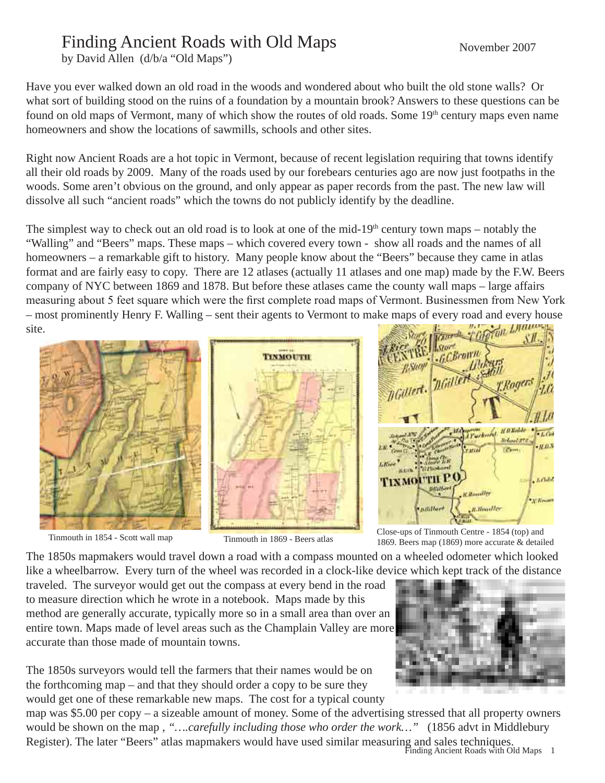## Finding Ancient Roads with Old Maps

by David Allen (d/b/a "Old Maps")

Have you ever walked down an old road in the woods and wondered about who built the old stone walls? Or what sort of building stood on the ruins of a foundation by a mountain brook? Answers to these questions can be found on old maps of Vermont, many of which show the routes of old roads. Some 19<sup>th</sup> century maps even name homeowners and show the locations of sawmills, schools and other sites.

Right now Ancient Roads are a hot topic in Vermont, because of recent legislation requiring that towns identify all their old roads by 2009. Many of the roads used by our forebears centuries ago are now just footpaths in the woods. Some aren't obvious on the ground, and only appear as paper records from the past. The new law will dissolve all such "ancient roads" which the towns do not publicly identify by the deadline.

The simplest way to check out an old road is to look at one of the mid-19<sup>th</sup> century town maps – notably the "Walling" and "Beers" maps. These maps – which covered every town - show all roads and the names of all homeowners – a remarkable gift to history. Many people know about the "Beers" because they came in atlas format and are fairly easy to copy. There are 12 atlases (actually 11 atlases and one map) made by the F.W. Beers company of NYC between 1869 and 1878. But before these atlases came the county wall maps – large affairs measuring about 5 feet square which were the first complete road maps of Vermont. Businessmen from New York – most prominently Henry F. Walling – sent their agents to Vermont to make maps of every road and every house site.





Tinmouth in 1854 - Scott wall map Tinmouth in 1869 - Beers atlas Close-ups of Tinmouth Centre - 1854 (top) and Tinmouth in 1869 - Beers atlas Close-ups of Tinmouth Centre - 1854 (top) and 1869. Beers map (1869) more accurate & detailed

The 1850s mapmakers would travel down a road with a compass mounted on a wheeled odometer which looked like a wheelbarrow. Every turn of the wheel was recorded in a clock-like device which kept track of the distance

traveled. The surveyor would get out the compass at every bend in the road to measure direction which he wrote in a notebook. Maps made by this method are generally accurate, typically more so in a small area than over an entire town. Maps made of level areas such as the Champlain Valley are more accurate than those made of mountain towns.

The 1850s surveyors would tell the farmers that their names would be on the forthcoming map – and that they should order a copy to be sure they would get one of these remarkable new maps. The cost for a typical county

 Finding Ancient Roads with Old Maps map was \$5.00 per copy – a sizeable amount of money. Some of the advertising stressed that all property owners would be shown on the map, "....*carefully including those who order the work*..." (1856 advt in Middlebury Register). The later "Beers" atlas mapmakers would have used similar measuring and sales techniques.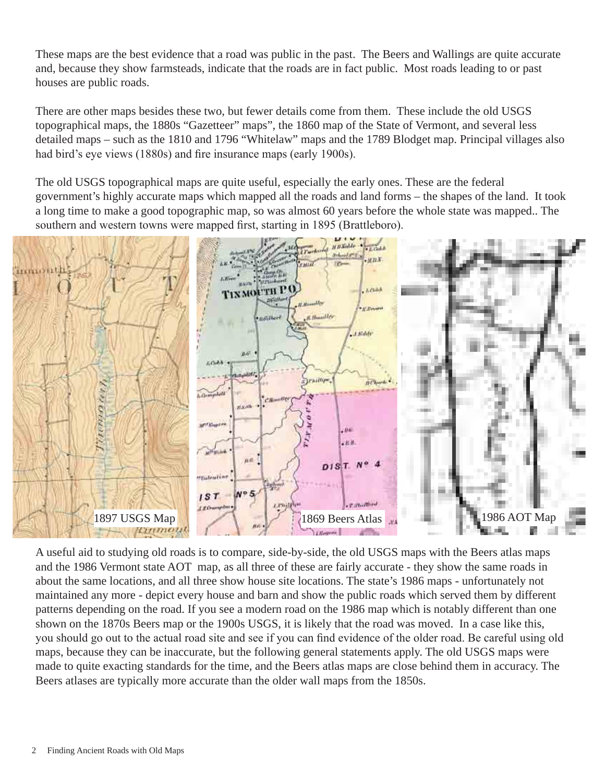These maps are the best evidence that a road was public in the past. The Beers and Wallings are quite accurate and, because they show farmsteads, indicate that the roads are in fact public. Most roads leading to or past houses are public roads.

There are other maps besides these two, but fewer details come from them. These include the old USGS topographical maps, the 1880s "Gazetteer" maps", the 1860 map of the State of Vermont, and several less detailed maps – such as the 1810 and 1796 "Whitelaw" maps and the 1789 Blodget map. Principal villages also had bird's eye views (1880s) and fire insurance maps (early 1900s).

The old USGS topographical maps are quite useful, especially the early ones. These are the federal government's highly accurate maps which mapped all the roads and land forms – the shapes of the land. It took a long time to make a good topographic map, so was almost 60 years before the whole state was mapped.. The southern and western towns were mapped first, starting in 1895 (Brattleboro).



A useful aid to studying old roads is to compare, side-by-side, the old USGS maps with the Beers atlas maps and the 1986 Vermont state AOT map, as all three of these are fairly accurate - they show the same roads in about the same locations, and all three show house site locations. The state's 1986 maps - unfortunately not maintained any more - depict every house and barn and show the public roads which served them by different patterns depending on the road. If you see a modern road on the 1986 map which is notably different than one shown on the 1870s Beers map or the 1900s USGS, it is likely that the road was moved. In a case like this, you should go out to the actual road site and see if you can find evidence of the older road. Be careful using old maps, because they can be inaccurate, but the following general statements apply. The old USGS maps were made to quite exacting standards for the time, and the Beers atlas maps are close behind them in accuracy. The Beers atlases are typically more accurate than the older wall maps from the 1850s.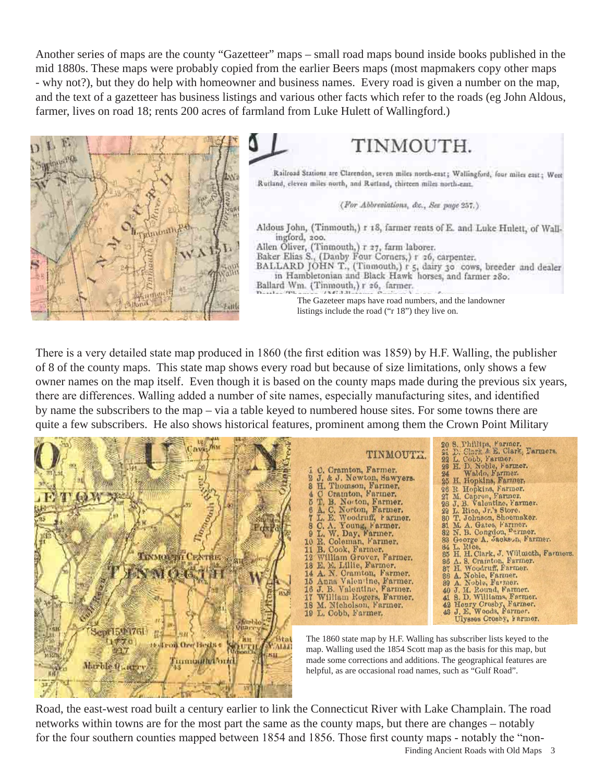Another series of maps are the county "Gazetteer" maps – small road maps bound inside books published in the mid 1880s. These maps were probably copied from the earlier Beers maps (most mapmakers copy other maps - why not?), but they do help with homeowner and business names. Every road is given a number on the map, and the text of a gazetteer has business listings and various other facts which refer to the roads (eg John Aldous, farmer, lives on road 18; rents 200 acres of farmland from Luke Hulett of Wallingford.)



TINMOUTH.

Railroad Stations are Clarendon, seven miles north-east; Wallingford, four miles east; Weet Rutland, eleven miles north, and Rutland, thirteen miles north-east.

(For Abbreviations, &c., Sex page 257.)

Aldous John, (Tinmouth,) r 18, farmer rents of E. and Luke Hulett, of Wallingford, 200.

Allen Oliver, (Tinmouth,) r 27, farm laborer.

Baker Elias S., (Danby Four Corners,) r 26, carpenter.

BALLARD JOHN T., (Tinmouth,) r 5, dairy 30 cows, breeder and dealer in Hambletonian and Black Hawk horses, and farmer 280. Ballard Wm. (Tinmouth,) r 26, farmer.

> The Gazeteer maps have road numbers, and the landowner listings include the road ("r 18") they live on.

There is a very detailed state map produced in 1860 (the first edition was 1859) by H.F. Walling, the publisher of 8 of the county maps. This state map shows every road but because of size limitations, only shows a few owner names on the map itself. Even though it is based on the county maps made during the previous six years, there are differences. Walling added a number of site names, especially manufacturing sites, and identified by name the subscribers to the map – via a table keyed to numbered house sites. For some towns there are



Road, the east-west road built a century earlier to link the Connecticut River with Lake Champlain. The road networks within towns are for the most part the same as the county maps, but there are changes – notably for the four southern counties mapped between 1854 and 1856. Those first county maps - notably the "non-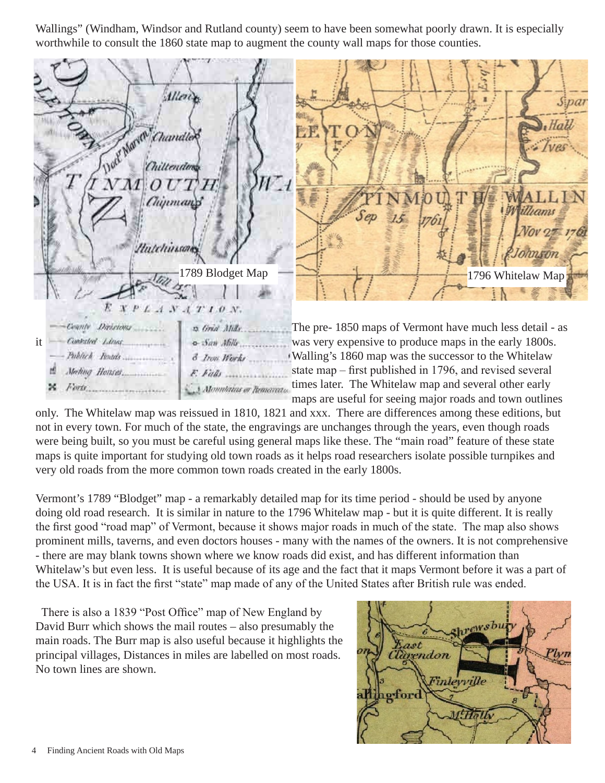Wallings" (Windham, Windsor and Rutland county) seem to have been somewhat poorly drawn. It is especially worthwhile to consult the 1860 state map to augment the county wall maps for those counties.



only. The Whitelaw map was reissued in 1810, 1821 and xxx. There are differences among these editions, but not in every town. For much of the state, the engravings are unchanges through the years, even though roads were being built, so you must be careful using general maps like these. The "main road" feature of these state maps is quite important for studying old town roads as it helps road researchers isolate possible turnpikes and very old roads from the more common town roads created in the early 1800s.

Vermont's 1789 "Blodget" map - a remarkably detailed map for its time period - should be used by anyone doing old road research. It is similar in nature to the 1796 Whitelaw map - but it is quite different. It is really the first good "road map" of Vermont, because it shows major roads in much of the state. The map also shows prominent mills, taverns, and even doctors houses - many with the names of the owners. It is not comprehensive - there are may blank towns shown where we know roads did exist, and has different information than Whitelaw's but even less. It is useful because of its age and the fact that it maps Vermont before it was a part of the USA. It is in fact the first "state" map made of any of the United States after British rule was ended.

 There is also a 1839 "Post Office" map of New England by David Burr which shows the mail routes – also presumably the main roads. The Burr map is also useful because it highlights the principal villages, Distances in miles are labelled on most roads. No town lines are shown.